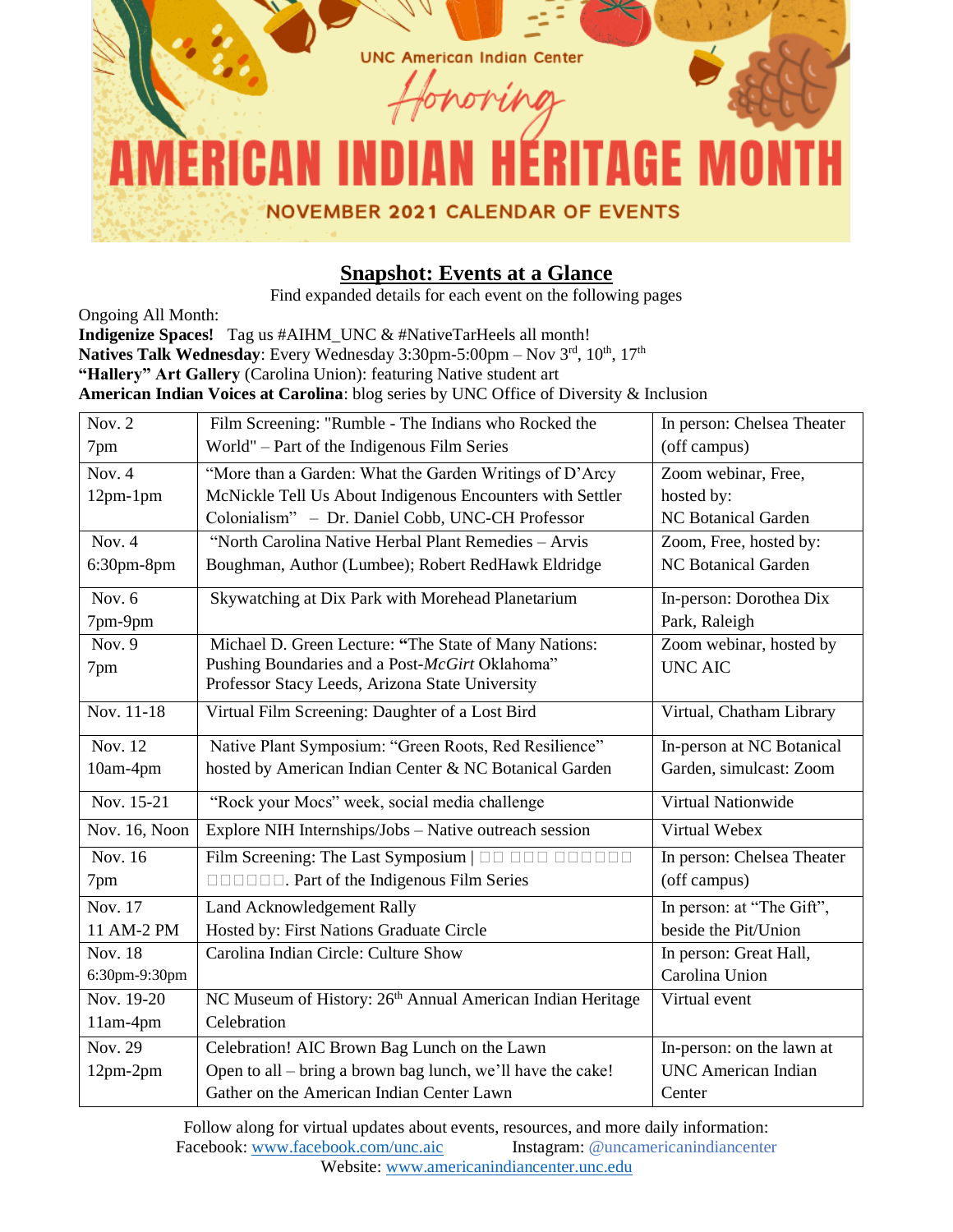

# **Snapshot: Events at a Glance**

Find expanded details for each event on the following pages

Ongoing All Month: **Indigenize Spaces!** Tag us #AIHM UNC & #NativeTarHeels all month! Natives Talk Wednesday: Every Wednesday 3:30pm-5:00pm – Nov 3<sup>rd</sup>, 10<sup>th</sup>, 17<sup>th</sup> **"Hallery" Art Gallery** (Carolina Union): featuring Native student art **American Indian Voices at Carolina**: blog series by UNC Office of Diversity & Inclusion

| Nov. $2$       | Film Screening: "Rumble - The Indians who Rocked the                   | In person: Chelsea Theater |
|----------------|------------------------------------------------------------------------|----------------------------|
| 7pm            | World" - Part of the Indigenous Film Series                            | (off campus)               |
| Nov. $4$       | "More than a Garden: What the Garden Writings of D'Arcy                | Zoom webinar, Free,        |
| $12pm-1pm$     | McNickle Tell Us About Indigenous Encounters with Settler              | hosted by:                 |
|                | Colonialism" - Dr. Daniel Cobb, UNC-CH Professor                       | <b>NC Botanical Garden</b> |
| Nov. $4$       | "North Carolina Native Herbal Plant Remedies - Arvis                   | Zoom, Free, hosted by:     |
| 6:30pm-8pm     | Boughman, Author (Lumbee); Robert RedHawk Eldridge                     | <b>NC Botanical Garden</b> |
| Nov. $6$       | Skywatching at Dix Park with Morehead Planetarium                      | In-person: Dorothea Dix    |
| 7pm-9pm        |                                                                        | Park, Raleigh              |
| Nov. $9$       | Michael D. Green Lecture: "The State of Many Nations:                  | Zoom webinar, hosted by    |
| 7pm            | Pushing Boundaries and a Post-McGirt Oklahoma"                         | <b>UNC AIC</b>             |
|                | Professor Stacy Leeds, Arizona State University                        |                            |
| Nov. 11-18     | Virtual Film Screening: Daughter of a Lost Bird                        | Virtual, Chatham Library   |
| Nov. 12        | Native Plant Symposium: "Green Roots, Red Resilience"                  | In-person at NC Botanical  |
| 10am-4pm       | hosted by American Indian Center & NC Botanical Garden                 | Garden, simulcast: Zoom    |
| Nov. 15-21     | "Rock your Mocs" week, social media challenge                          | Virtual Nationwide         |
| Nov. 16, Noon  | Explore NIH Internships/Jobs - Native outreach session                 | Virtual Webex              |
| Nov. 16        | Film Screening: The Last Symposium   00 000 00000                      | In person: Chelsea Theater |
| 7pm            | <b>ODDODI</b> . Part of the Indigenous Film Series                     | (off campus)               |
| Nov. 17        | Land Acknowledgement Rally                                             | In person: at "The Gift",  |
| 11 AM-2 PM     | Hosted by: First Nations Graduate Circle                               | beside the Pit/Union       |
| <b>Nov. 18</b> | Carolina Indian Circle: Culture Show                                   | In person: Great Hall,     |
| 6:30pm-9:30pm  |                                                                        | Carolina Union             |
| Nov. 19-20     | NC Museum of History: 26 <sup>th</sup> Annual American Indian Heritage | Virtual event              |
| $11am-4pm$     | Celebration                                                            |                            |
| Nov. 29        | Celebration! AIC Brown Bag Lunch on the Lawn                           | In-person: on the lawn at  |
| $12pm-2pm$     | Open to all – bring a brown bag lunch, we'll have the cake!            | <b>UNC</b> American Indian |
|                | Gather on the American Indian Center Lawn                              | Center                     |

Follow along for virtual updates about events, resources, and more daily information:<br>Facebook: www.facebook.com/unc.aic Instagram: @uncamericanindiancenter Facebook: www.facebook.com/unc.aic Website[: www.americanindiancenter.unc.edu](http://www.americanindiancenter.unc.edu/)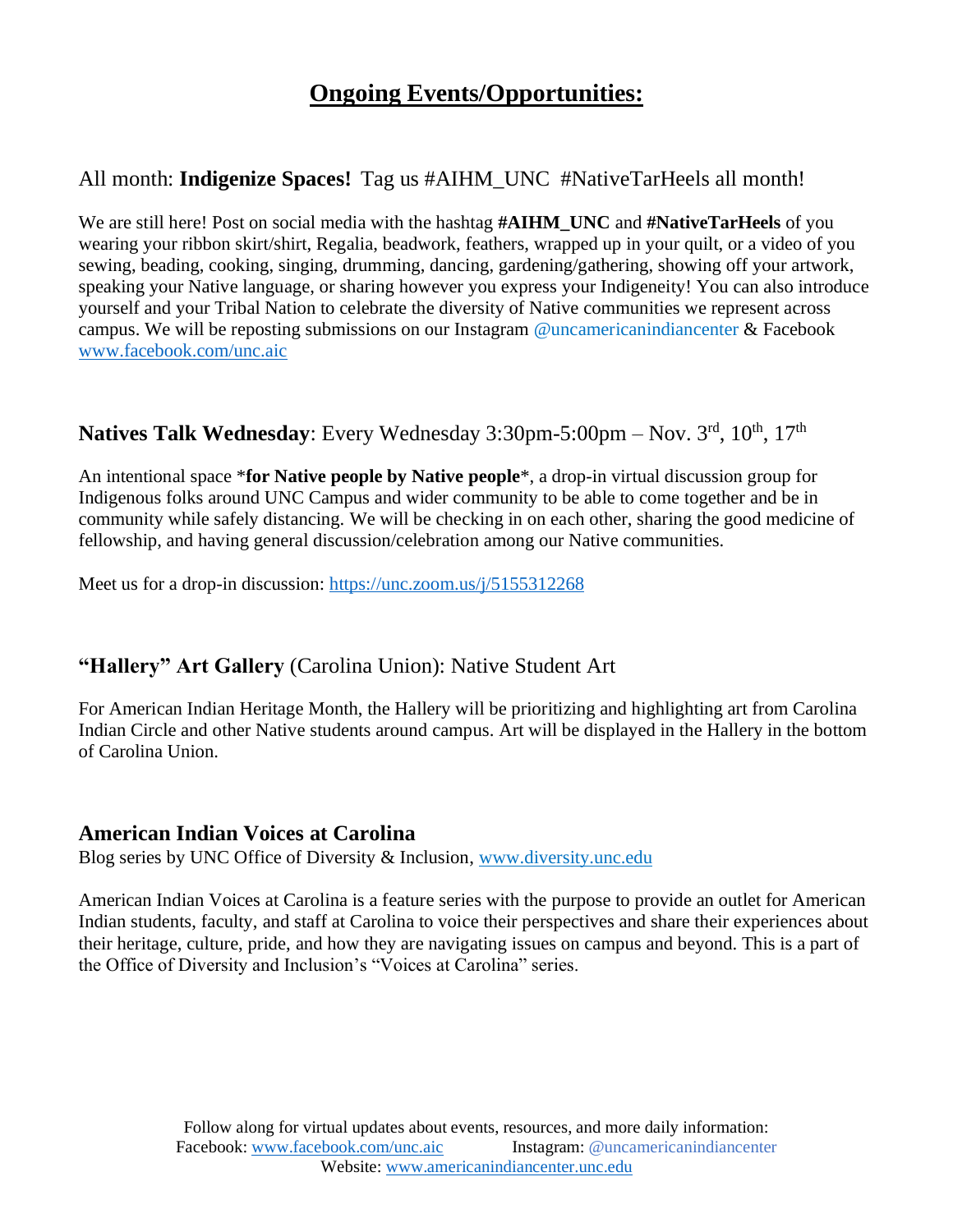# **Ongoing Events/Opportunities:**

# All month: **Indigenize Spaces!** Tag us #AIHM\_UNC #NativeTarHeels all month!

We are still here! Post on social media with the hashtag **#AIHM\_UNC** and **#NativeTarHeels** of you wearing your ribbon skirt/shirt, Regalia, beadwork, feathers, wrapped up in your quilt, or a video of you sewing, beading, cooking, singing, drumming, dancing, gardening/gathering, showing off your artwork, speaking your Native language, or sharing however you express your Indigeneity! You can also introduce yourself and your Tribal Nation to celebrate the diversity of Native communities we represent across campus. We will be reposting submissions on our Instagram @uncamericanindiancenter & Facebook [www.facebook.com/unc.aic](http://www.facebook.com/unc.aic)

### **Natives Talk Wednesday**: Every Wednesday 3:30pm-5:00pm – Nov. 3<sup>rd</sup>, 10<sup>th</sup>, 17<sup>th</sup>

An intentional space \***for Native people by Native people**\*, a drop-in virtual discussion group for Indigenous folks around UNC Campus and wider community to be able to come together and be in community while safely distancing. We will be checking in on each other, sharing the good medicine of fellowship, and having general discussion/celebration among our Native communities.

Meet us for a drop-in discussion:<https://unc.zoom.us/j/5155312268>

# **"Hallery" Art Gallery** (Carolina Union): Native Student Art

For American Indian Heritage Month, the Hallery will be prioritizing and highlighting art from Carolina Indian Circle and other Native students around campus. Art will be displayed in the Hallery in the bottom of Carolina Union.

### **American Indian Voices at Carolina**

Blog series by UNC Office of Diversity & Inclusion, [www.diversity.unc.edu](http://www.diversity.unc.edu/)

American Indian Voices at Carolina is a feature series with the purpose to provide an outlet for American Indian students, faculty, and staff at Carolina to voice their perspectives and share their experiences about their heritage, culture, pride, and how they are navigating issues on campus and beyond. This is a part of the Office of Diversity and Inclusion's "Voices at Carolina" series.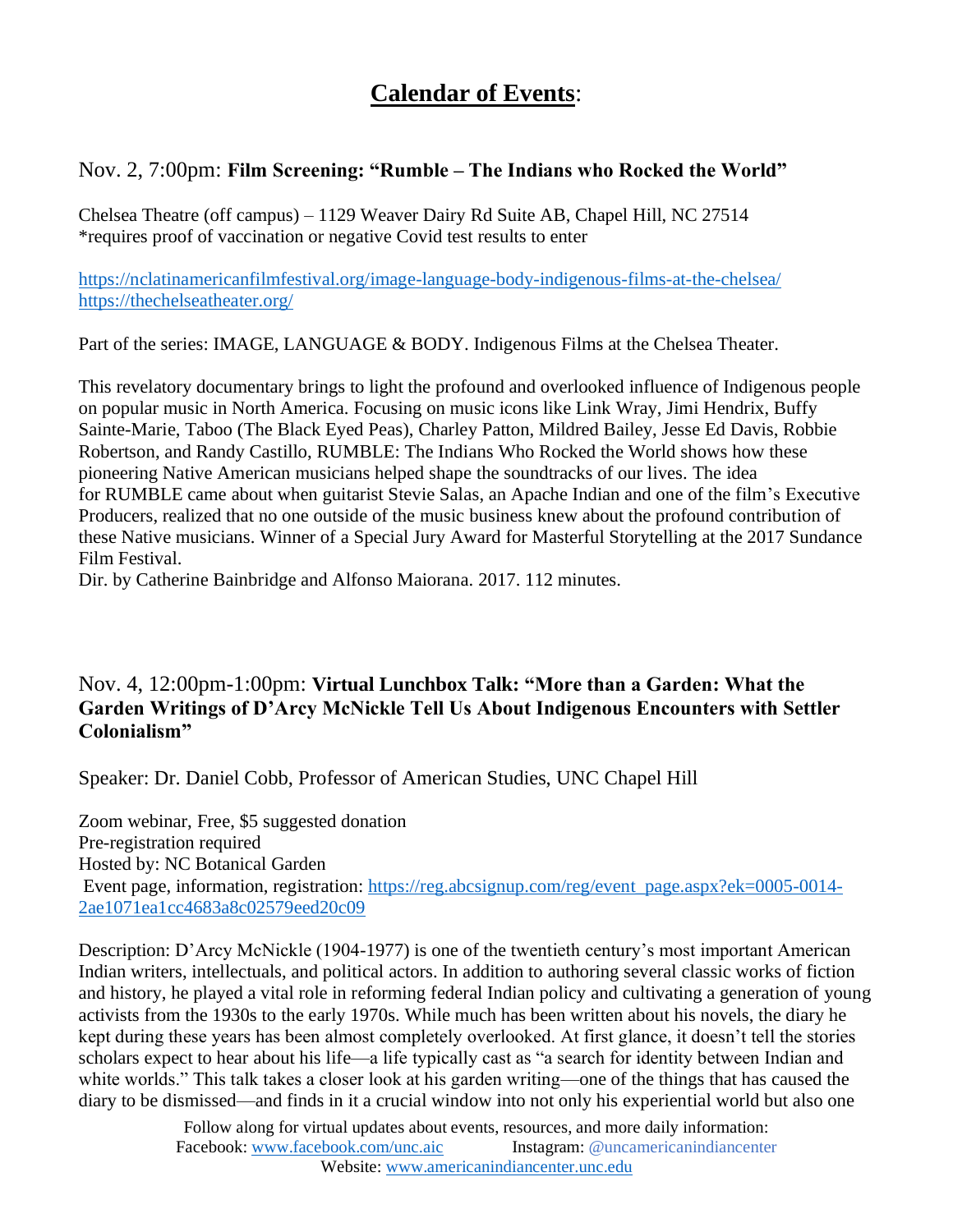# **Calendar of Events**:

### Nov. 2, 7:00pm: **Film Screening: "Rumble – The Indians who Rocked the World"**

Chelsea Theatre (off campus) – 1129 Weaver Dairy Rd Suite AB, Chapel Hill, NC 27514 \*requires proof of vaccination or negative Covid test results to enter

<https://nclatinamericanfilmfestival.org/image-language-body-indigenous-films-at-the-chelsea/> <https://thechelseatheater.org/>

Part of the series: IMAGE, LANGUAGE & BODY. Indigenous Films at the Chelsea Theater.

This revelatory documentary brings to light the profound and overlooked influence of Indigenous people on popular music in North America. Focusing on music icons like Link Wray, Jimi Hendrix, Buffy Sainte-Marie, Taboo (The Black Eyed Peas), Charley Patton, Mildred Bailey, Jesse Ed Davis, Robbie Robertson, and Randy Castillo, RUMBLE: The Indians Who Rocked the World shows how these pioneering Native American musicians helped shape the soundtracks of our lives. The idea for RUMBLE came about when guitarist Stevie Salas, an Apache Indian and one of the film's Executive Producers, realized that no one outside of the music business knew about the profound contribution of these Native musicians. Winner of a Special Jury Award for Masterful Storytelling at the 2017 Sundance Film Festival.

Dir. by Catherine Bainbridge and Alfonso Maiorana. 2017. 112 minutes.

### Nov. 4, 12:00pm-1:00pm: **Virtual Lunchbox Talk: "More than a Garden: What the Garden Writings of D'Arcy McNickle Tell Us About Indigenous Encounters with Settler Colonialism"**

Speaker: Dr. Daniel Cobb, Professor of American Studies, UNC Chapel Hill

Zoom webinar, Free, \$5 suggested donation Pre-registration required Hosted by: NC Botanical Garden Event page, information, registration: [https://reg.abcsignup.com/reg/event\\_page.aspx?ek=0005-0014-](https://reg.abcsignup.com/reg/event_page.aspx?ek=0005-0014-2ae1071ea1cc4683a8c02579eed20c09) [2ae1071ea1cc4683a8c02579eed20c09](https://reg.abcsignup.com/reg/event_page.aspx?ek=0005-0014-2ae1071ea1cc4683a8c02579eed20c09)

Description: D'Arcy McNickle (1904-1977) is one of the twentieth century's most important American Indian writers, intellectuals, and political actors. In addition to authoring several classic works of fiction and history, he played a vital role in reforming federal Indian policy and cultivating a generation of young activists from the 1930s to the early 1970s. While much has been written about his novels, the diary he kept during these years has been almost completely overlooked. At first glance, it doesn't tell the stories scholars expect to hear about his life—a life typically cast as "a search for identity between Indian and white worlds." This talk takes a closer look at his garden writing—one of the things that has caused the diary to be dismissed—and finds in it a crucial window into not only his experiential world but also one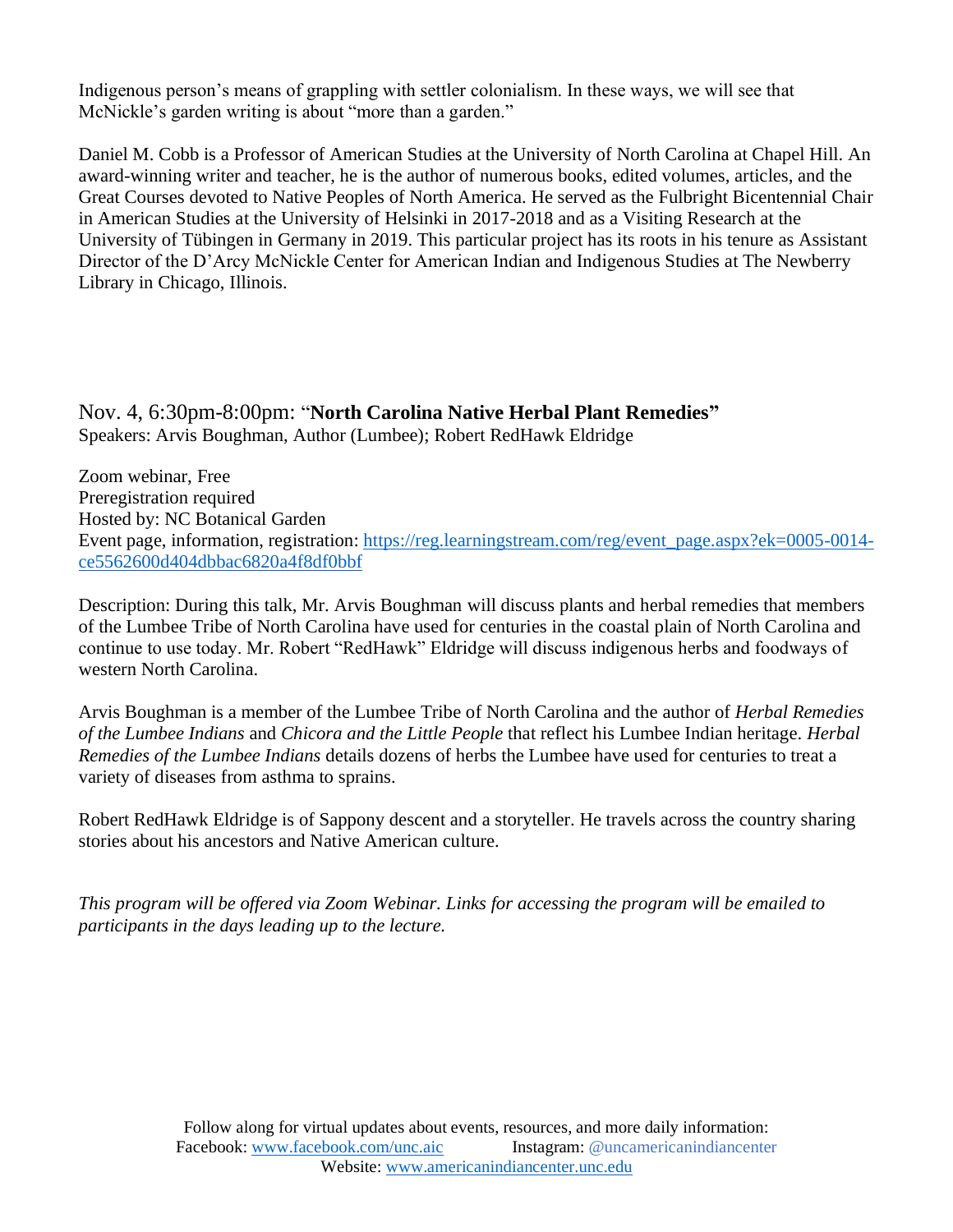Indigenous person's means of grappling with settler colonialism. In these ways, we will see that McNickle's garden writing is about "more than a garden."

Daniel M. Cobb is a Professor of American Studies at the University of North Carolina at Chapel Hill. An award-winning writer and teacher, he is the author of numerous books, edited volumes, articles, and the Great Courses devoted to Native Peoples of North America. He served as the Fulbright Bicentennial Chair in American Studies at the University of Helsinki in 2017-2018 and as a Visiting Research at the University of Tübingen in Germany in 2019. This particular project has its roots in his tenure as Assistant Director of the D'Arcy McNickle Center for American Indian and Indigenous Studies at The Newberry Library in Chicago, Illinois.

Nov. 4, 6:30pm-8:00pm: "**North Carolina Native Herbal Plant Remedies"**  Speakers: Arvis Boughman, Author (Lumbee); Robert RedHawk Eldridge

Zoom webinar, Free Preregistration required Hosted by: NC Botanical Garden Event page, information, registration: [https://reg.learningstream.com/reg/event\\_page.aspx?ek=0005-0014](https://reg.learningstream.com/reg/event_page.aspx?ek=0005-0014-ce5562600d404dbbac6820a4f8df0bbf) [ce5562600d404dbbac6820a4f8df0bbf](https://reg.learningstream.com/reg/event_page.aspx?ek=0005-0014-ce5562600d404dbbac6820a4f8df0bbf)

Description: During this talk, Mr. Arvis Boughman will discuss plants and herbal remedies that members of the Lumbee Tribe of North Carolina have used for centuries in the coastal plain of North Carolina and continue to use today. Mr. Robert "RedHawk" Eldridge will discuss indigenous herbs and foodways of western North Carolina.

Arvis Boughman is a member of the Lumbee Tribe of North Carolina and the author of *Herbal Remedies of the Lumbee Indians* and *Chicora and the Little People* that reflect his Lumbee Indian heritage. *Herbal Remedies of the Lumbee Indians* details dozens of herbs the Lumbee have used for centuries to treat a variety of diseases from asthma to sprains.

Robert RedHawk Eldridge is of Sappony descent and a storyteller. He travels across the country sharing stories about his ancestors and Native American culture.

*This program will be offered via Zoom Webinar. Links for accessing the program will be emailed to participants in the days leading up to the lecture.*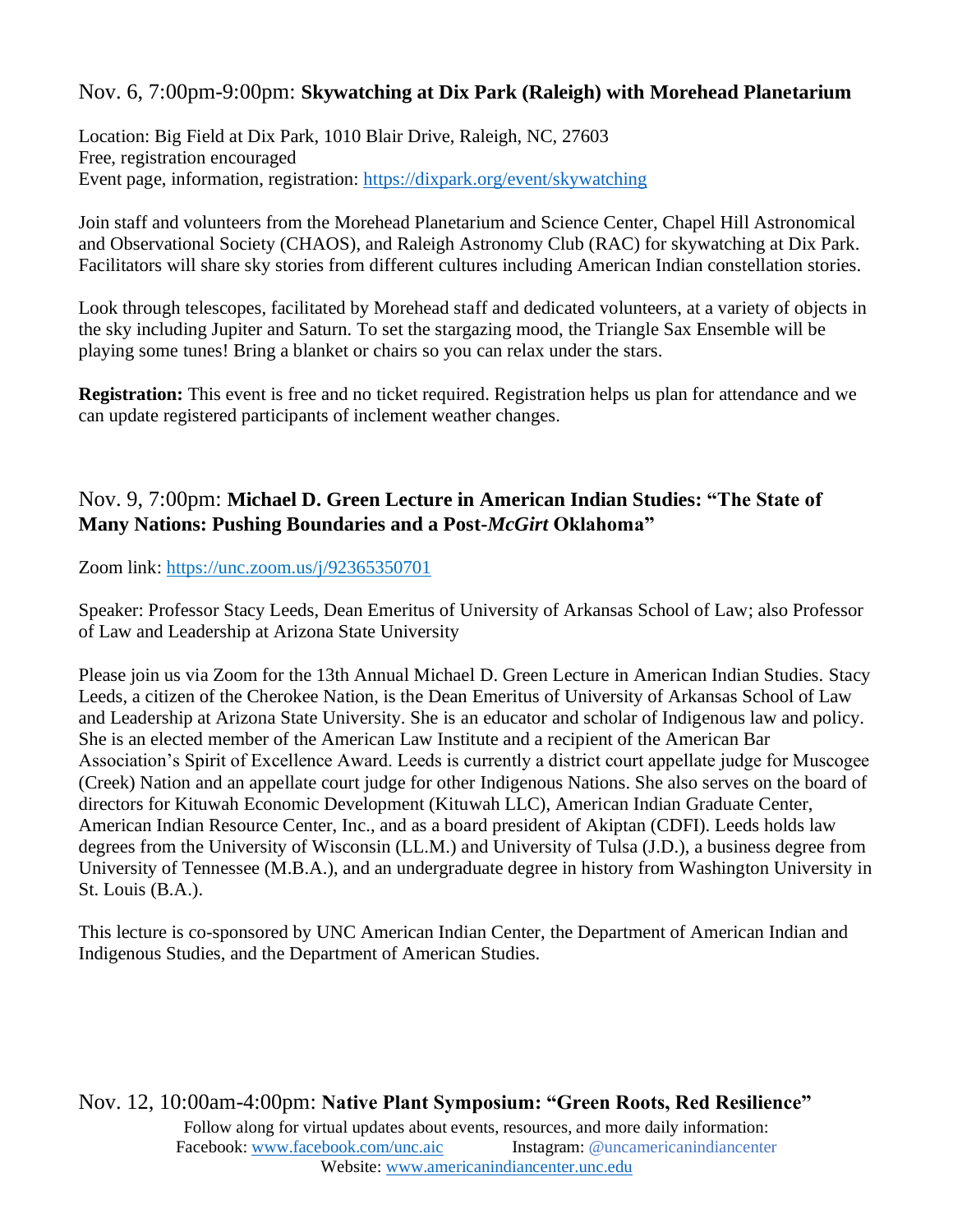### Nov. 6, 7:00pm-9:00pm: **Skywatching at Dix Park (Raleigh) with Morehead Planetarium**

Location: Big Field at Dix Park, 1010 Blair Drive, Raleigh, NC, 27603 Free, registration encouraged Event page, information, registration:<https://dixpark.org/event/skywatching>

Join staff and volunteers from the Morehead Planetarium and Science Center, Chapel Hill Astronomical and Observational Society (CHAOS), and Raleigh Astronomy Club (RAC) for skywatching at Dix Park. Facilitators will share sky stories from different cultures including American Indian constellation stories.

Look through telescopes, facilitated by Morehead staff and dedicated volunteers, at a variety of objects in the sky including Jupiter and Saturn. To set the stargazing mood, the Triangle Sax Ensemble will be playing some tunes! Bring a blanket or chairs so you can relax under the stars.

**Registration:** This event is free and no ticket required. Registration helps us plan for attendance and we can update registered participants of inclement weather changes.

### Nov. 9, 7:00pm: **Michael D. Green Lecture in American Indian Studies: "The State of Many Nations: Pushing Boundaries and a Post-***McGirt* **Oklahoma"**

Zoom link:<https://unc.zoom.us/j/92365350701>

Speaker: Professor Stacy Leeds, Dean Emeritus of University of Arkansas School of Law; also Professor of Law and Leadership at Arizona State University

Please join us via Zoom for the 13th Annual Michael D. Green Lecture in American Indian Studies. Stacy Leeds, a citizen of the Cherokee Nation, is the Dean Emeritus of University of Arkansas School of Law and Leadership at Arizona State University. She is an educator and scholar of Indigenous law and policy. She is an elected member of the American Law Institute and a recipient of the American Bar Association's Spirit of Excellence Award. Leeds is currently a district court appellate judge for Muscogee (Creek) Nation and an appellate court judge for other Indigenous Nations. She also serves on the board of directors for Kituwah Economic Development (Kituwah LLC), American Indian Graduate Center, American Indian Resource Center, Inc., and as a board president of Akiptan (CDFI). Leeds holds law degrees from the University of Wisconsin (LL.M.) and University of Tulsa (J.D.), a business degree from University of Tennessee (M.B.A.), and an undergraduate degree in history from Washington University in St. Louis (B.A.).

This lecture is co-sponsored by UNC American Indian Center, the Department of American Indian and Indigenous Studies, and the Department of American Studies.

Follow along for virtual updates about events, resources, and more daily information: Facebook[: www.facebook.com/unc.aic](http://www.facebook.com/unc.aic) Instagram: @uncamericanindiancenter Website[: www.americanindiancenter.unc.edu](http://www.americanindiancenter.unc.edu/) Nov. 12, 10:00am-4:00pm: **Native Plant Symposium: "Green Roots, Red Resilience"**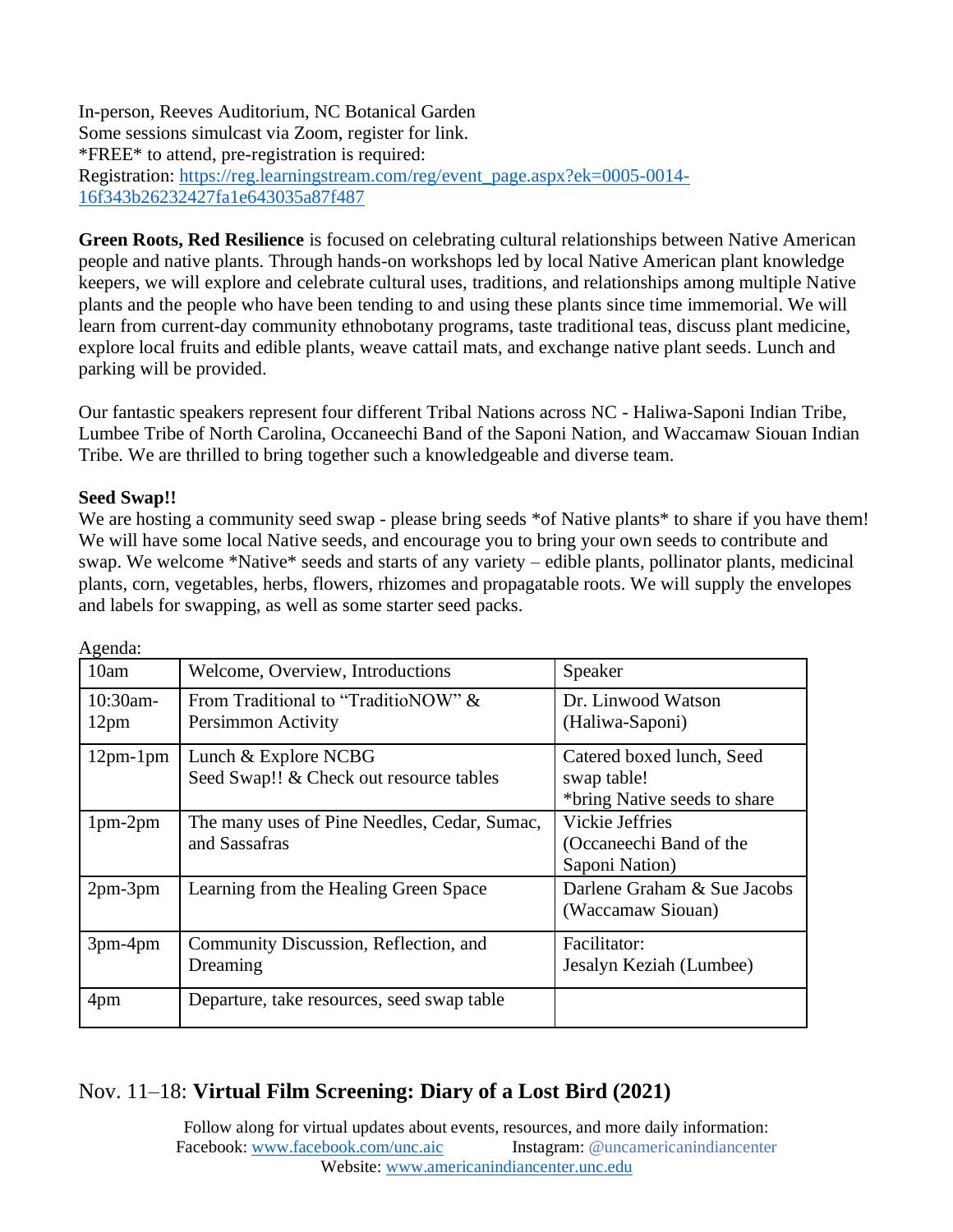In-person, Reeves Auditorium, NC Botanical Garden Some sessions simulcast via Zoom, register for link. \*FREE\* to attend, pre-registration is required: Registration: [https://reg.learningstream.com/reg/event\\_page.aspx?ek=0005-0014-](https://reg.learningstream.com/reg/event_page.aspx?ek=0005-0014-16f343b26232427fa1e643035a87f487) [16f343b26232427fa1e643035a87f487](https://reg.learningstream.com/reg/event_page.aspx?ek=0005-0014-16f343b26232427fa1e643035a87f487)

**Green Roots, Red Resilience** is focused on celebrating cultural relationships between Native American people and native plants. Through hands-on workshops led by local Native American plant knowledge keepers, we will explore and celebrate cultural uses, traditions, and relationships among multiple Native plants and the people who have been tending to and using these plants since time immemorial. We will learn from current-day community ethnobotany programs, taste traditional teas, discuss plant medicine, explore local fruits and edible plants, weave cattail mats, and exchange native plant seeds. Lunch and parking will be provided.

Our fantastic speakers represent four different Tribal Nations across NC - Haliwa-Saponi Indian Tribe, Lumbee Tribe of North Carolina, Occaneechi Band of the Saponi Nation, and Waccamaw Siouan Indian Tribe. We are thrilled to bring together such a knowledgeable and diverse team.

#### **Seed Swap!!**

We are hosting a community seed swap - please bring seeds \*of Native plants\* to share if you have them! We will have some local Native seeds, and encourage you to bring your own seeds to contribute and swap. We welcome \*Native\* seeds and starts of any variety – edible plants, pollinator plants, medicinal plants, corn, vegetables, herbs, flowers, rhizomes and propagatable roots. We will supply the envelopes and labels for swapping, as well as some starter seed packs.

| 10am                         | Welcome, Overview, Introductions                                | Speaker                                                                  |
|------------------------------|-----------------------------------------------------------------|--------------------------------------------------------------------------|
| 10:30am-<br>12 <sub>pm</sub> | From Traditional to "TraditioNOW" &<br>Persimmon Activity       | Dr. Linwood Watson<br>(Haliwa-Saponi)                                    |
| $12pm-1pm$                   | Lunch & Explore NCBG<br>Seed Swap!! & Check out resource tables | Catered boxed lunch, Seed<br>swap table!<br>*bring Native seeds to share |
| $1pm-2pm$                    | The many uses of Pine Needles, Cedar, Sumac,<br>and Sassafras   | Vickie Jeffries<br>(Occaneechi Band of the<br>Saponi Nation)             |
| $2pm-3pm$                    | Learning from the Healing Green Space                           | Darlene Graham & Sue Jacobs<br>(Waccamaw Siouan)                         |
| $3pm-4pm$                    | Community Discussion, Reflection, and<br>Dreaming               | Facilitator:<br>Jesalyn Keziah (Lumbee)                                  |
| 4pm                          | Departure, take resources, seed swap table                      |                                                                          |

Agenda:

### Nov. 11–18: **Virtual Film Screening: Diary of a Lost Bird (2021)**

Follow along for virtual updates about events, resources, and more daily information: Facebook[: www.facebook.com/unc.aic](http://www.facebook.com/unc.aic) Instagram: @uncamericanindiancenter Website[: www.americanindiancenter.unc.edu](http://www.americanindiancenter.unc.edu/)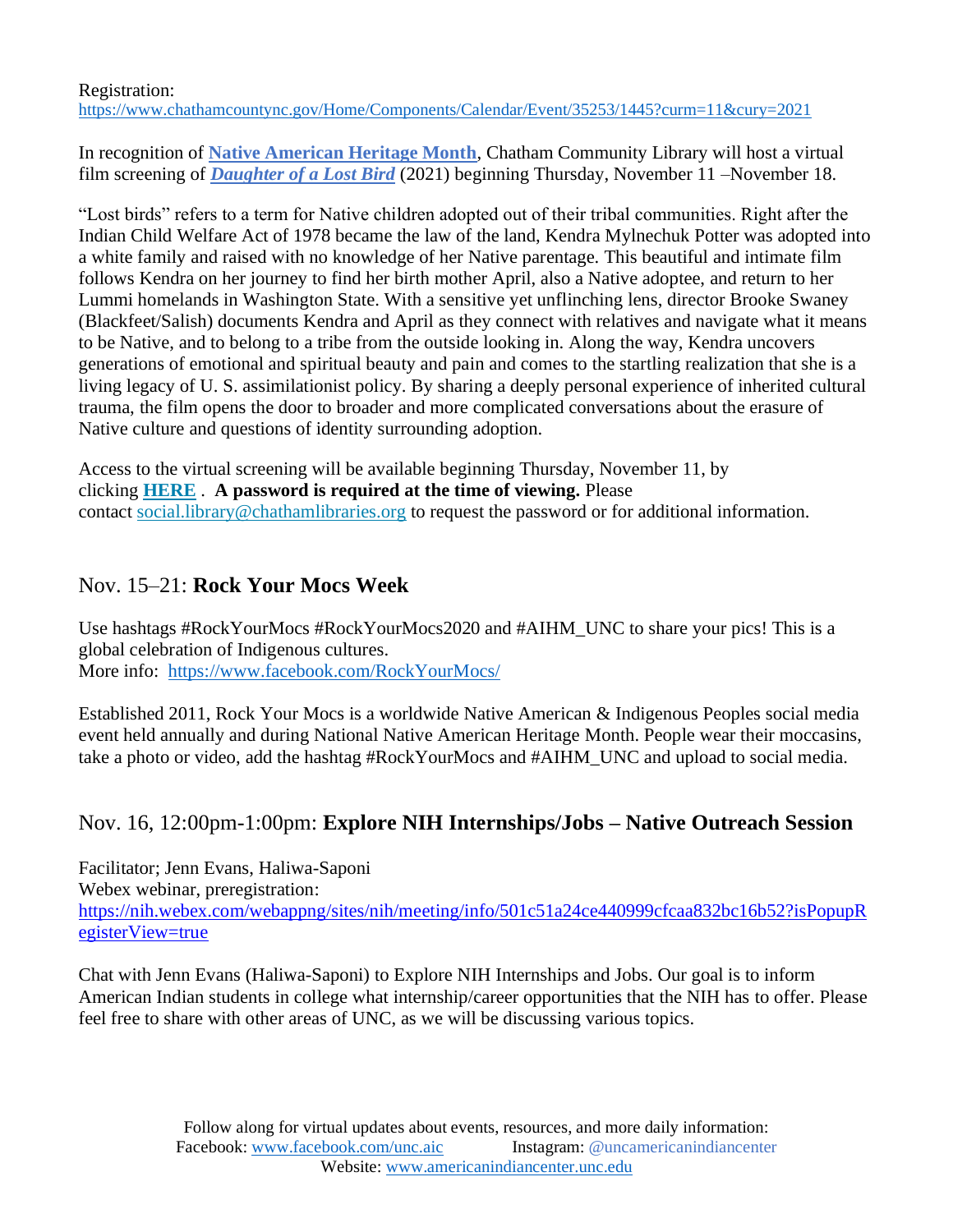#### Registration: <https://www.chathamcountync.gov/Home/Components/Calendar/Event/35253/1445?curm=11&cury=2021>

In recognition of **[Native American Heritage Month](https://nativeamericanheritagemonth.gov/)**, Chatham Community Library will host a virtual film screening of *[Daughter of a Lost Bird](https://www.wmm.com/catalog/film/daughter-of-a-lost-bird/)* (2021) beginning Thursday, November 11 –November 18.

"Lost birds" refers to a term for Native children adopted out of their tribal communities. Right after the Indian Child Welfare Act of 1978 became the law of the land, Kendra Mylnechuk Potter was adopted into a white family and raised with no knowledge of her Native parentage. This beautiful and intimate film follows Kendra on her journey to find her birth mother April, also a Native adoptee, and return to her Lummi homelands in Washington State. With a sensitive yet unflinching lens, director Brooke Swaney (Blackfeet/Salish) documents Kendra and April as they connect with relatives and navigate what it means to be Native, and to belong to a tribe from the outside looking in. Along the way, Kendra uncovers generations of emotional and spiritual beauty and pain and comes to the startling realization that she is a living legacy of U. S. assimilationist policy. By sharing a deeply personal experience of inherited cultural trauma, the film opens the door to broader and more complicated conversations about the erasure of Native culture and questions of identity surrounding adoption.

Access to the virtual screening will be available beginning Thursday, November 11, by clicking **[HERE](https://www.wmm.com/virtual-screening-room/daughter-of-a-lost-bird-watch-page-chatham-community-library/)** . **A password is required at the time of viewing.** Please contact social.library@chathamlibraries.org to request the password or for additional information.

### Nov. 15–21: **Rock Your Mocs Week**

Use hashtags #RockYourMocs #RockYourMocs2020 and #AIHM\_UNC to share your pics! This is a global celebration of Indigenous cultures. More info: <https://www.facebook.com/RockYourMocs/>

Established 2011, Rock Your Mocs is a worldwide Native American & Indigenous Peoples social media event held annually and during National Native American Heritage Month. People wear their moccasins, take a photo or video, add the hashtag #RockYourMocs and #AIHM\_UNC and upload to social media.

# Nov. 16, 12:00pm-1:00pm: **Explore NIH Internships/Jobs – Native Outreach Session**

Facilitator; Jenn Evans, Haliwa-Saponi Webex webinar, preregistration: [https://nih.webex.com/webappng/sites/nih/meeting/info/501c51a24ce440999cfcaa832bc16b52?isPopupR](https://nih.webex.com/webappng/sites/nih/meeting/info/501c51a24ce440999cfcaa832bc16b52?isPopupRegisterView=true) [egisterView=true](https://nih.webex.com/webappng/sites/nih/meeting/info/501c51a24ce440999cfcaa832bc16b52?isPopupRegisterView=true)

Chat with Jenn Evans (Haliwa-Saponi) to Explore NIH Internships and Jobs. Our goal is to inform American Indian students in college what internship/career opportunities that the NIH has to offer. Please feel free to share with other areas of UNC, as we will be discussing various topics.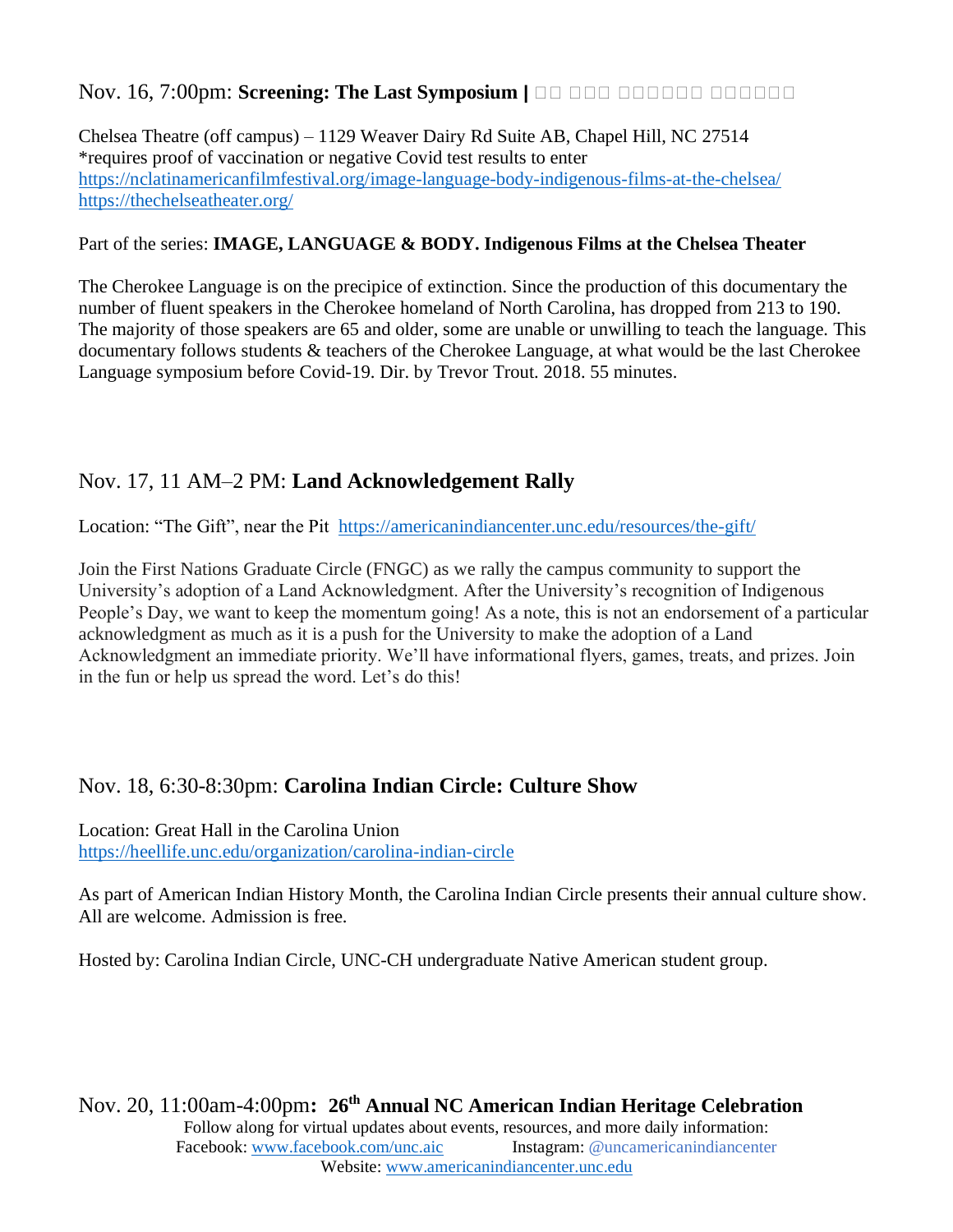### Nov. 16, 7:00pm: **Screening: The Last Symposium |** ᎣᎣ ᎣᎣᎣ ᎣᎣᎣᎣᎣᎣ ᎣᎣᎣᎣᎣᎣ

Chelsea Theatre (off campus) – 1129 Weaver Dairy Rd Suite AB, Chapel Hill, NC 27514 \*requires proof of vaccination or negative Covid test results to enter <https://nclatinamericanfilmfestival.org/image-language-body-indigenous-films-at-the-chelsea/> <https://thechelseatheater.org/>

#### Part of the series: **IMAGE, LANGUAGE & BODY. Indigenous Films at the Chelsea Theater**

The Cherokee Language is on the precipice of extinction. Since the production of this documentary the number of fluent speakers in the Cherokee homeland of North Carolina, has dropped from 213 to 190. The majority of those speakers are 65 and older, some are unable or unwilling to teach the language. This documentary follows students & teachers of the Cherokee Language, at what would be the last Cherokee Language symposium before Covid-19. Dir. by Trevor Trout. 2018. 55 minutes.

# Nov. 17, 11 AM–2 PM: **Land Acknowledgement Rally**

Location: "The Gift", near the Pit <https://americanindiancenter.unc.edu/resources/the-gift/>

Join the First Nations Graduate Circle (FNGC) as we rally the campus community to support the University's adoption of a Land Acknowledgment. After the University's recognition of Indigenous People's Day, we want to keep the momentum going! As a note, this is not an endorsement of a particular acknowledgment as much as it is a push for the University to make the adoption of a Land Acknowledgment an immediate priority. We'll have informational flyers, games, treats, and prizes. Join in the fun or help us spread the word. Let's do this!

# Nov. 18, 6:30-8:30pm: **Carolina Indian Circle: Culture Show**

Location: Great Hall in the Carolina Union <https://heellife.unc.edu/organization/carolina-indian-circle>

As part of American Indian History Month, the Carolina Indian Circle presents their annual culture show. All are welcome. Admission is free.

Hosted by: Carolina Indian Circle, UNC-CH undergraduate Native American student group.

Follow along for virtual updates about events, resources, and more daily information: Facebook[: www.facebook.com/unc.aic](http://www.facebook.com/unc.aic) Instagram: @uncamericanindiancenter Website[: www.americanindiancenter.unc.edu](http://www.americanindiancenter.unc.edu/) Nov. 20, 11:00am-4:00pm**: 26 th Annual NC American Indian Heritage Celebration**